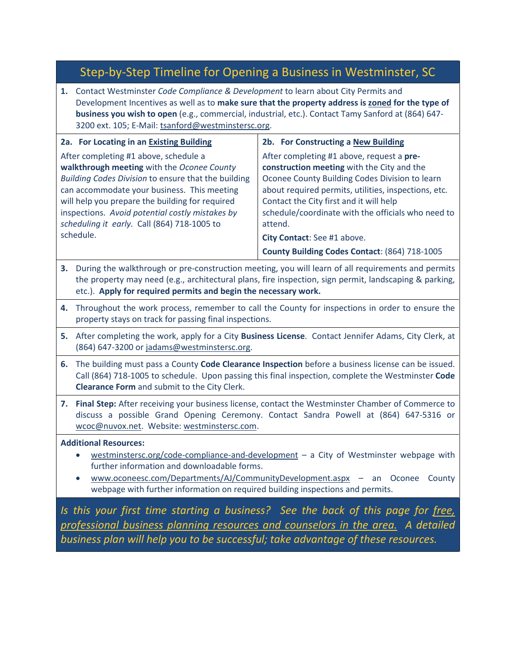# Step-by-Step Timeline for Opening a Business in Westminster, SC

**1.** Contact Westminster *Code Compliance & Development* to learn about City Permits and Development Incentives as well as to **make sure that the property address is zoned for the type of business you wish to open** (e.g., commercial, industrial, etc.). Contact Tamy Sanford at (864) 647- 3200 ext. 105; E-Mail: [tsanford@westminstersc.org.](mailto:tsanford@westminstersc.org)

| 2a. For Locating in an Existing Building                                                                                                                                                                                                                                                                                                       | 2b. For Constructing a New Building                                                                                                                                                                                                                                                                           |
|------------------------------------------------------------------------------------------------------------------------------------------------------------------------------------------------------------------------------------------------------------------------------------------------------------------------------------------------|---------------------------------------------------------------------------------------------------------------------------------------------------------------------------------------------------------------------------------------------------------------------------------------------------------------|
| After completing #1 above, schedule a<br>walkthrough meeting with the Oconee County<br>Building Codes Division to ensure that the building<br>can accommodate your business. This meeting<br>will help you prepare the building for required<br>inspections. Avoid potential costly mistakes by<br>scheduling it early. Call (864) 718-1005 to | After completing #1 above, request a pre-<br>construction meeting with the City and the<br>Oconee County Building Codes Division to learn<br>about required permits, utilities, inspections, etc.<br>Contact the City first and it will help<br>schedule/coordinate with the officials who need to<br>attend. |
| schedule.                                                                                                                                                                                                                                                                                                                                      | City Contact: See #1 above.<br>County Building Codes Contact: (864) 718-1005                                                                                                                                                                                                                                  |

- **3.** During the walkthrough or pre-construction meeting, you will learn of all requirements and permits the property may need (e.g., architectural plans, fire inspection, sign permit, landscaping & parking, etc.). **Apply for required permits and begin the necessary work.**
- **4.** Throughout the work process, remember to call the County for inspections in order to ensure the property stays on track for passing final inspections.
- **5.** After completing the work, apply for a City **Business License**. Contact Jennifer Adams, City Clerk, at (864) 647-3200 or [jadams@westminstersc.org.](mailto:jadams@westminstersc.org)
- **6.** The building must pass a County **Code Clearance Inspection** before a business license can be issued. Call (864) 718-1005 to schedule. Upon passing this final inspection, complete the Westminster **Code Clearance Form** and submit to the City Clerk.
- **7. Final Step:** After receiving your business license, contact the Westminster Chamber of Commerce to discuss a possible Grand Opening Ceremony. Contact Sandra Powell at (864) 647-5316 or [wcoc@nuvox.net.](mailto:wcoc@nuvox.net) Website: westminstersc.com.

### **Additional Resources:**

- westminstersc.org/code-compliance-and-development a City of Westminster webpage with further information and downloadable forms.
- [www.oconeesc.com/Departments/AJ/CommunityDevelopment.aspx](http://www.oconeesc.com/Departments/AJ/CommunityDevelopment.aspx) an Oconee County webpage with further information on required building inspections and permits.

*Is this your first time starting a business? See the back of this page for free, professional business planning resources and counselors in the area. A detailed business plan will help you to be successful; take advantage of these resources.*